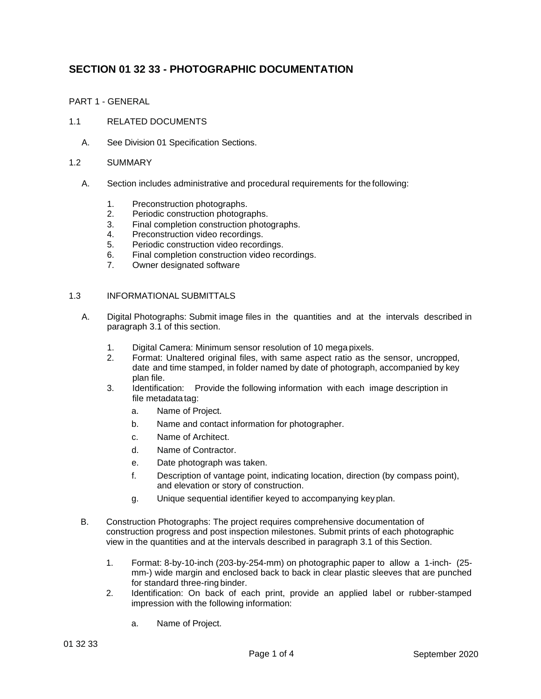# **SECTION 01 32 33 - PHOTOGRAPHIC DOCUMENTATION**

PART 1 - GENERAL

- 1.1 RELATED DOCUMENTS
	- A. See Division 01 Specification Sections.
- 1.2 SUMMARY
	- A. Section includes administrative and procedural requirements for the following:
		- 1. Preconstruction photographs.
		- 2. Periodic construction photographs.
		- 3. Final completion construction photographs.
		- 4. Preconstruction video recordings.
		- 5. Periodic construction video recordings.
		- 6. Final completion construction video recordings.
		- 7. Owner designated software

## 1.3 INFORMATIONAL SUBMITTALS

- A. Digital Photographs: Submit image files in the quantities and at the intervals described in paragraph 3.1 of this section.
	- 1. Digital Camera: Minimum sensor resolution of 10 mega pixels.
	- 2. Format: Unaltered original files, with same aspect ratio as the sensor, uncropped, date and time stamped, in folder named by date of photograph, accompanied by key plan file.
	- 3. Identification: Provide the following information with each image description in file metadata tag:
		- a. Name of Project.
		- b. Name and contact information for photographer.
		- c. Name of Architect.
		- d. Name of Contractor.
		- e. Date photograph was taken.
		- f. Description of vantage point, indicating location, direction (by compass point), and elevation or story of construction.
		- g. Unique sequential identifier keyed to accompanying key plan.
- B. Construction Photographs: The project requires comprehensive documentation of construction progress and post inspection milestones. Submit prints of each photographic view in the quantities and at the intervals described in paragraph 3.1 of this Section.
	- 1. Format: 8-by-10-inch (203-by-254-mm) on photographic paper to allow a 1-inch- (25 mm-) wide margin and enclosed back to back in clear plastic sleeves that are punched for standard three-ring binder.
	- 2. Identification: On back of each print, provide an applied label or rubber-stamped impression with the following information:
		- a. Name of Project.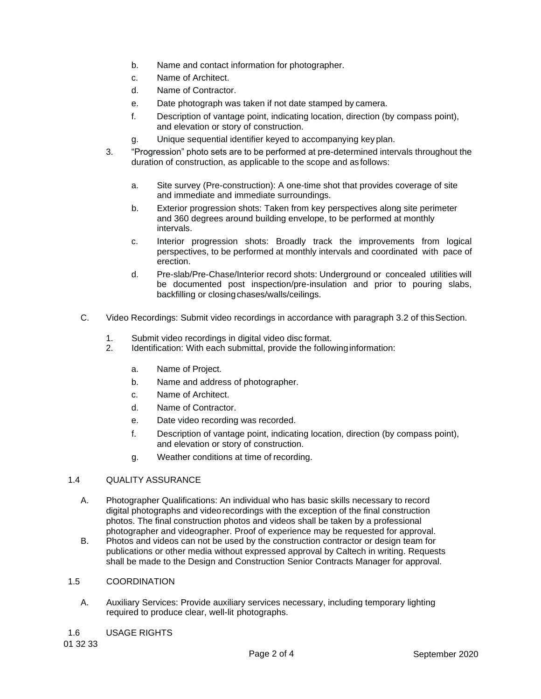- b. Name and contact information for photographer.
- c. Name of Architect.
- d. Name of Contractor.
- e. Date photograph was taken if not date stamped by camera.
- f. Description of vantage point, indicating location, direction (by compass point), and elevation or story of construction.
- g. Unique sequential identifier keyed to accompanying key plan.
- 3. "Progression" photo sets are to be performed at pre-determined intervals throughout the duration of construction, as applicable to the scope and as follows:
	- a. Site survey (Pre-construction): A one-time shot that provides coverage of site and immediate and immediate surroundings.
	- b. Exterior progression shots: Taken from key perspectives along site perimeter and 360 degrees around building envelope, to be performed at monthly intervals.
	- c. Interior progression shots: Broadly track the improvements from logical perspectives, to be performed at monthly intervals and coordinated with pace of erection.
	- d. Pre-slab/Pre-Chase/Interior record shots: Underground or concealed utilities will be documented post inspection/pre-insulation and prior to pouring slabs, backfilling or closingchases/walls/ceilings.
- C. Video Recordings: Submit video recordings in accordance with paragraph 3.2 of thisSection.
	- 1. Submit video recordings in digital video disc format.
	- 2. Identification: With each submittal, provide the followinginformation:
		- a. Name of Project.
		- b. Name and address of photographer.
		- c. Name of Architect.
		- d. Name of Contractor.
		- e. Date video recording was recorded.
		- f. Description of vantage point, indicating location, direction (by compass point), and elevation or story of construction.
		- g. Weather conditions at time of recording.

## 1.4 QUALITY ASSURANCE

- A. Photographer Qualifications: An individual who has basic skills necessary to record digital photographs and videorecordings with the exception of the final construction photos. The final construction photos and videos shall be taken by a professional photographer and videographer. Proof of experience may be requested for approval.
- B. Photos and videos can not be used by the construction contractor or design team for publications or other media without expressed approval by Caltech in writing. Requests shall be made to the Design and Construction Senior Contracts Manager for approval.

## 1.5 COORDINATION

- A. Auxiliary Services: Provide auxiliary services necessary, including temporary lighting required to produce clear, well-lit photographs.
- 1.6 USAGE RIGHTS

01 32 33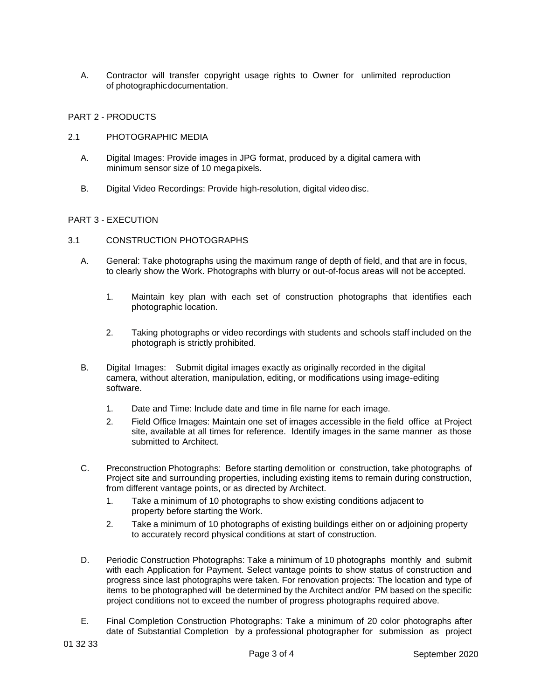A. Contractor will transfer copyright usage rights to Owner for unlimited reproduction of photographicdocumentation.

## PART 2 - PRODUCTS

- 2.1 PHOTOGRAPHIC MEDIA
	- A. Digital Images: Provide images in JPG format, produced by a digital camera with minimum sensor size of 10 mega pixels.
	- B. Digital Video Recordings: Provide high-resolution, digital video disc.

## PART 3 - EXECUTION

## 3.1 CONSTRUCTION PHOTOGRAPHS

- A. General: Take photographs using the maximum range of depth of field, and that are in focus, to clearly show the Work. Photographs with blurry or out-of-focus areas will not be accepted.
	- 1. Maintain key plan with each set of construction photographs that identifies each photographic location.
	- 2. Taking photographs or video recordings with students and schools staff included on the photograph is strictly prohibited.
- B. Digital Images: Submit digital images exactly as originally recorded in the digital camera, without alteration, manipulation, editing, or modifications using image-editing software.
	- 1. Date and Time: Include date and time in file name for each image.
	- 2. Field Office Images: Maintain one set of images accessible in the field office at Project site, available at all times for reference. Identify images in the same manner as those submitted to Architect.
- C. Preconstruction Photographs: Before starting demolition or construction, take photographs of Project site and surrounding properties, including existing items to remain during construction, from different vantage points, or as directed by Architect.
	- 1. Take a minimum of 10 photographs to show existing conditions adjacent to property before starting the Work.
	- 2. Take a minimum of 10 photographs of existing buildings either on or adjoining property to accurately record physical conditions at start of construction.
- D. Periodic Construction Photographs: Take a minimum of 10 photographs monthly and submit with each Application for Payment. Select vantage points to show status of construction and progress since last photographs were taken. For renovation projects: The location and type of items to be photographed will be determined by the Architect and/or PM based on the specific project conditions not to exceed the number of progress photographs required above.
- E. Final Completion Construction Photographs: Take a minimum of 20 color photographs after date of Substantial Completion by a professional photographer for submission as project